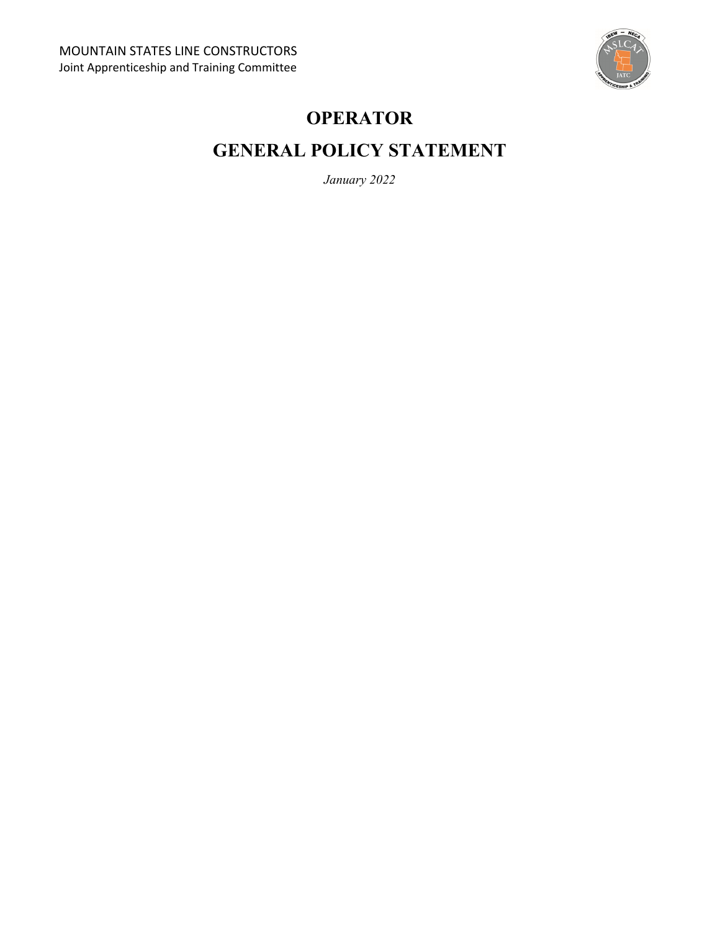

# **OPERATOR**

# **GENERAL POLICY STATEMENT**

*January 2022*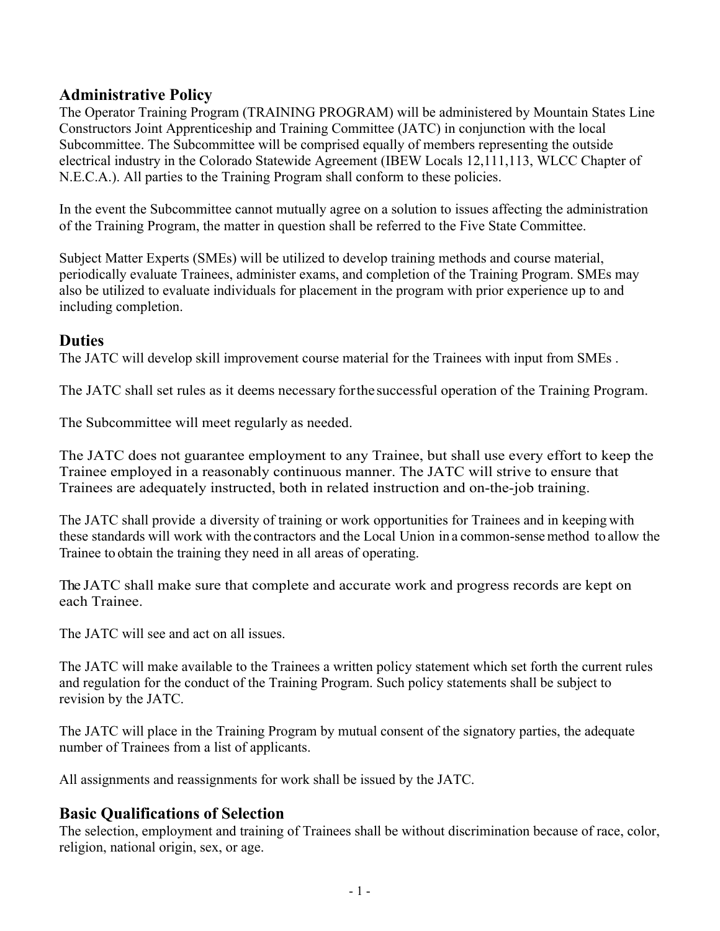## **Administrative Policy**

The Operator Training Program (TRAINING PROGRAM) will be administered by Mountain States Line Constructors Joint Apprenticeship and Training Committee (JATC) in conjunction with the local Subcommittee. The Subcommittee will be comprised equally of members representing the outside electrical industry in the Colorado Statewide Agreement (IBEW Locals 12,111,113, WLCC Chapter of N.E.C.A.). All parties to the Training Program shall conform to these policies.

In the event the Subcommittee cannot mutually agree on a solution to issues affecting the administration of the Training Program, the matter in question shall be referred to the Five State Committee.

Subject Matter Experts (SMEs) will be utilized to develop training methods and course material, periodically evaluate Trainees, administer exams, and completion of the Training Program. SMEs may also be utilized to evaluate individuals for placement in the program with prior experience up to and including completion.

## **Duties**

The JATC will develop skill improvement course material for the Trainees with input from SMEs .

The JATC shall set rules as it deems necessary for the successful operation of the Training Program.

The Subcommittee will meet regularly as needed.

The JATC does not guarantee employment to any Trainee, but shall use every effort to keep the Trainee employed in a reasonably continuous manner. The JATC will strive to ensure that Trainees are adequately instructed, both in related instruction and on-the-job training.

The JATC shall provide a diversity of training or work opportunities for Trainees and in keeping with these standards will work with the contractors and the Local Union in a common-sense method to allow the Trainee to obtain the training they need in all areas of operating.

The JATC shall make sure that complete and accurate work and progress records are kept on each Trainee.

The JATC will see and act on all issues.

The JATC will make available to the Trainees a written policy statement which set forth the current rules and regulation for the conduct of the Training Program. Such policy statements shall be subject to revision by the JATC.

The JATC will place in the Training Program by mutual consent of the signatory parties, the adequate number of Trainees from a list of applicants.

All assignments and reassignments for work shall be issued by the JATC.

# **Basic Qualifications of Selection**

The selection, employment and training of Trainees shall be without discrimination because of race, color, religion, national origin, sex, or age.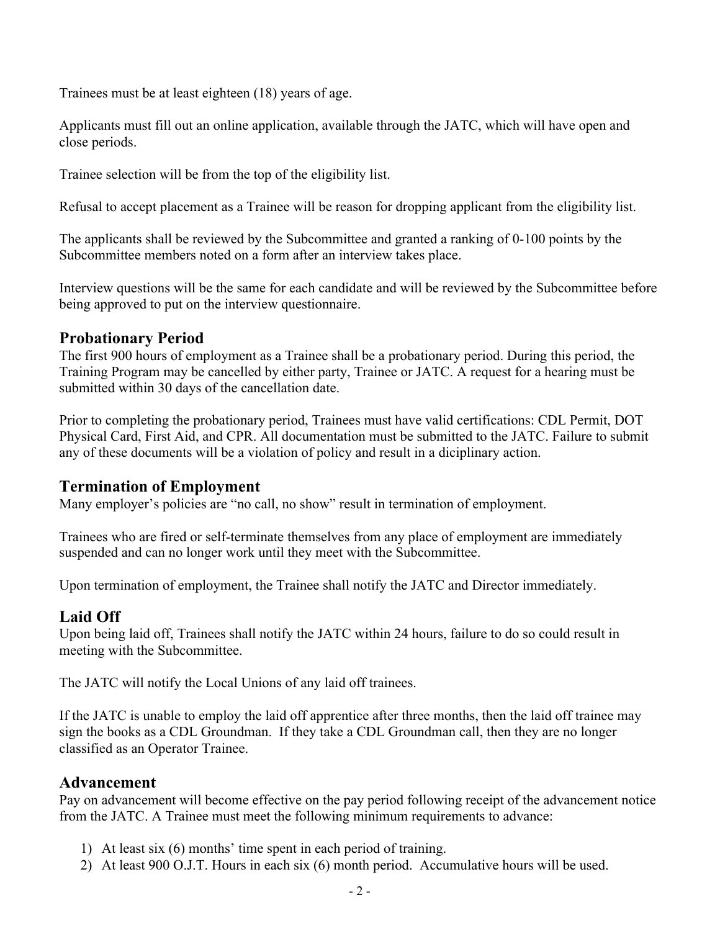Trainees must be at least eighteen (18) years of age.

Applicants must fill out an online application, available through the JATC, which will have open and close periods.

Trainee selection will be from the top of the eligibility list.

Refusal to accept placement as a Trainee will be reason for dropping applicant from the eligibility list.

The applicants shall be reviewed by the Subcommittee and granted a ranking of 0-100 points by the Subcommittee members noted on a form after an interview takes place.

Interview questions will be the same for each candidate and will be reviewed by the Subcommittee before being approved to put on the interview questionnaire.

# **Probationary Period**

The first 900 hours of employment as a Trainee shall be a probationary period. During this period, the Training Program may be cancelled by either party, Trainee or JATC. A request for a hearing must be submitted within 30 days of the cancellation date.

Prior to completing the probationary period, Trainees must have valid certifications: CDL Permit, DOT Physical Card, First Aid, and CPR. All documentation must be submitted to the JATC. Failure to submit any of these documents will be a violation of policy and result in a diciplinary action.

## **Termination of Employment**

Many employer's policies are "no call, no show" result in termination of employment.

Trainees who are fired or self-terminate themselves from any place of employment are immediately suspended and can no longer work until they meet with the Subcommittee.

Upon termination of employment, the Trainee shall notify the JATC and Director immediately.

# **Laid Off**

Upon being laid off, Trainees shall notify the JATC within 24 hours, failure to do so could result in meeting with the Subcommittee.

The JATC will notify the Local Unions of any laid off trainees.

If the JATC is unable to employ the laid off apprentice after three months, then the laid off trainee may sign the books as a CDL Groundman. If they take a CDL Groundman call, then they are no longer classified as an Operator Trainee.

## **Advancement**

Pay on advancement will become effective on the pay period following receipt of the advancement notice from the JATC. A Trainee must meet the following minimum requirements to advance:

- 1) At least six (6) months' time spent in each period of training.
- 2) At least 900 O.J.T. Hours in each six (6) month period. Accumulative hours will be used.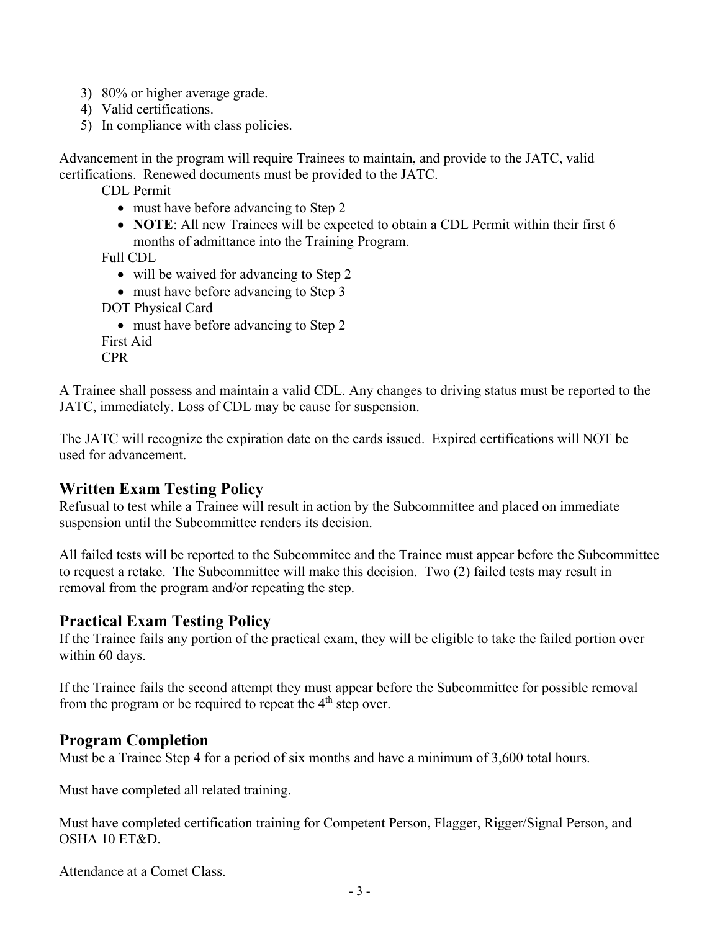- 3) 80% or higher average grade.
- 4) Valid certifications.
- 5) In compliance with class policies.

Advancement in the program will require Trainees to maintain, and provide to the JATC, valid certifications. Renewed documents must be provided to the JATC.

CDL Permit

- must have before advancing to Step 2
- **NOTE**: All new Trainees will be expected to obtain a CDL Permit within their first 6 months of admittance into the Training Program.

Full CDL

- will be waived for advancing to Step 2
- must have before advancing to Step 3

```
DOT Physical Card
```

```
• must have before advancing to Step 2
First Aid
```
CPR

A Trainee shall possess and maintain a valid CDL. Any changes to driving status must be reported to the JATC, immediately. Loss of CDL may be cause for suspension.

The JATC will recognize the expiration date on the cards issued. Expired certifications will NOT be used for advancement.

## **Written Exam Testing Policy**

Refusual to test while a Trainee will result in action by the Subcommittee and placed on immediate suspension until the Subcommittee renders its decision.

All failed tests will be reported to the Subcommitee and the Trainee must appear before the Subcommittee to request a retake. The Subcommittee will make this decision. Two (2) failed tests may result in removal from the program and/or repeating the step.

#### **Practical Exam Testing Policy**

If the Trainee fails any portion of the practical exam, they will be eligible to take the failed portion over within 60 days.

If the Trainee fails the second attempt they must appear before the Subcommittee for possible removal from the program or be required to repeat the  $4<sup>th</sup>$  step over.

#### **Program Completion**

Must be a Trainee Step 4 for a period of six months and have a minimum of 3,600 total hours.

Must have completed all related training.

Must have completed certification training for Competent Person, Flagger, Rigger/Signal Person, and OSHA 10 ET&D.

Attendance at a Comet Class.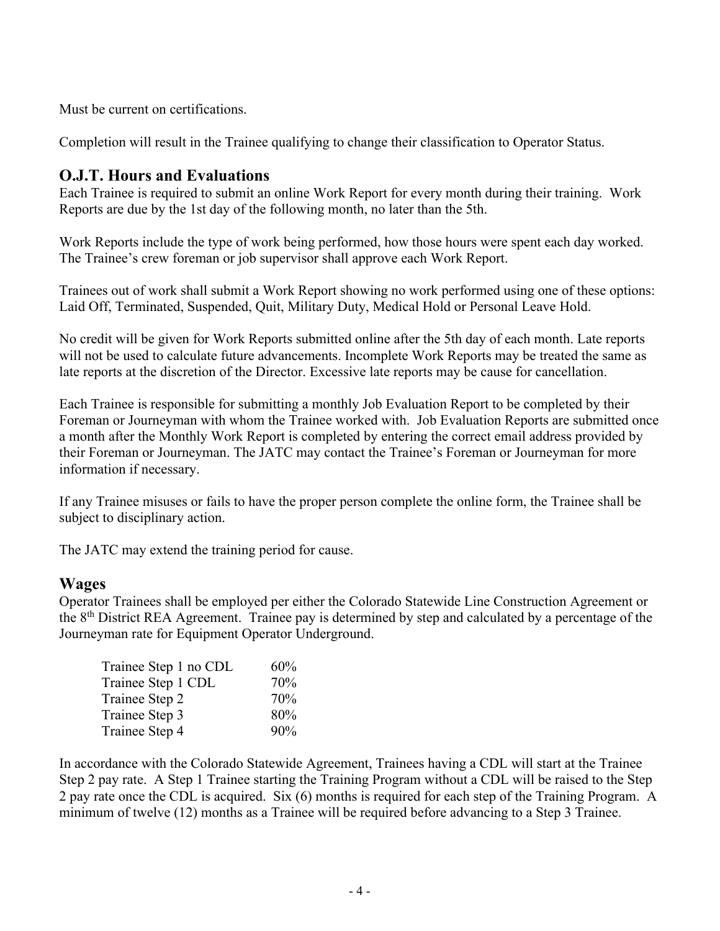Must be current on certifications.

Completion will result in the Trainee qualifying to change their classification to Operator Status.

## **O.J.T. Hours and Evaluations**

Each Trainee is required to submit an online Work Report for every month during their training. Work Reports are due by the 1st day of the following month, no later than the 5th.

Work Reports include the type of work being performed, how those hours were spent each day worked. The Trainee's crew foreman or job supervisor shall approve each Work Report.

Trainees out of work shall submit a Work Report showing no work performed using one of these options: Laid Off, Terminated, Suspended, Quit, Military Duty, Medical Hold or Personal Leave Hold.

No credit will be given for Work Reports submitted online after the 5th day of each month. Late reports will not be used to calculate future advancements. Incomplete Work Reports may be treated the same as late reports at the discretion of the Director. Excessive late reports may be cause for cancellation.

Each Trainee is responsible for submitting a monthly Job Evaluation Report to be completed by their Foreman or Journeyman with whom the Trainee worked with. Job Evaluation Reports are submitted once a month after the Monthly Work Report is completed by entering the correct email address provided by their Foreman or Journeyman. The JATC may contact the Trainee's Foreman or Journeyman for more information if necessary.

If any Trainee misuses or fails to have the proper person complete the online form, the Trainee shall be subject to disciplinary action.

The JATC may extend the training period for cause.

#### **Wages**

Operator Trainees shall be employed per either the Colorado Statewide Line Construction Agreement or the 8th District REA Agreement. Trainee pay is determined by step and calculated by a percentage of the Journeyman rate for Equipment Operator Underground.

| 60% |
|-----|
| 70% |
| 70% |
| 80% |
| 90% |
|     |

In accordance with the Colorado Statewide Agreement, Trainees having a CDL will start at the Trainee Step 2 pay rate. A Step 1 Trainee starting the Training Program without a CDL will be raised to the Step 2 pay rate once the CDL is acquired. Six (6) months is required for each step of the Training Program. A minimum of twelve (12) months as a Trainee will be required before advancing to a Step 3 Trainee.